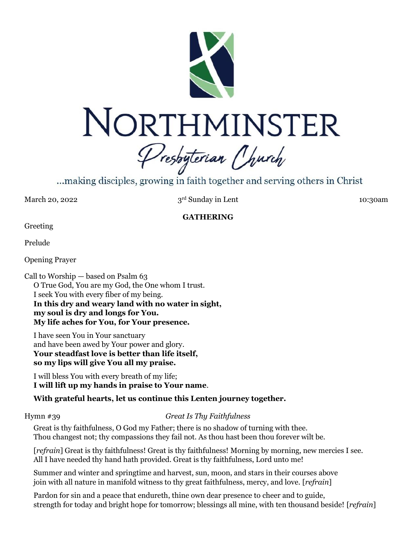

...making disciples, growing in faith together and serving others in Christ

March 20, 2022

3rd Sunday in Lent 10:30am

## **GATHERING**

Greeting

Prelude

Opening Prayer

Call to Worship — based on Psalm 63 O True God, You are my God, the One whom I trust. I seek You with every fiber of my being. **In this dry and weary land with no water in sight, my soul is dry and longs for You. My life aches for You, for Your presence.**

I have seen You in Your sanctuary and have been awed by Your power and glory. **Your steadfast love is better than life itself, so my lips will give You all my praise.**

I will bless You with every breath of my life; **I will lift up my hands in praise to Your name**.

# **With grateful hearts, let us continue this Lenten journey together.**

# Hymn #39 *Great Is Thy Faithfulness*

Great is thy faithfulness, O God my Father; there is no shadow of turning with thee. Thou changest not; thy compassions they fail not. As thou hast been thou forever wilt be.

[*refrain*] Great is thy faithfulness! Great is thy faithfulness! Morning by morning, new mercies I see. All I have needed thy hand hath provided. Great is thy faithfulness, Lord unto me!

Summer and winter and springtime and harvest, sun, moon, and stars in their courses above join with all nature in manifold witness to thy great faithfulness, mercy, and love. [*refrain*]

Pardon for sin and a peace that endureth, thine own dear presence to cheer and to guide, strength for today and bright hope for tomorrow; blessings all mine, with ten thousand beside! [*refrain*]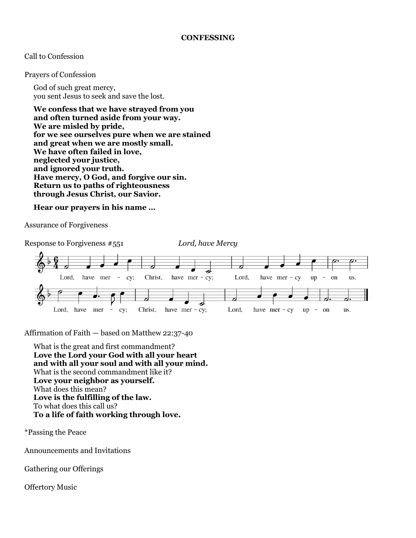## **CONFESSING**

## Call to Confession

Prayers of Confession

God of such great mercy, you sent Jesus to seek and save the lost.

**We confess that we have strayed from you and often turned aside from your way. We are misled by pride, for we see ourselves pure when we are stained and great when we are mostly small. We have often failed in love, neglected your justice, and ignored your truth. Have mercy, O God, and forgive our sin. Return us to paths of righteousness through Jesus Christ, our Savior.**

**Hear our prayers in his name …**

Assurance of Forgiveness



Affirmation of Faith — based on Matthew 22:37-40

What is the great and first commandment? **Love the Lord your God with all your heart and with all your soul and with all your mind.** What is the second commandment like it? **Love your neighbor as yourself.** What does this mean? **Love is the fulfilling of the law.** To what does this call us? **To a life of faith working through love.**

\*Passing the Peace

Announcements and Invitations

Gathering our Offerings

Offertory Music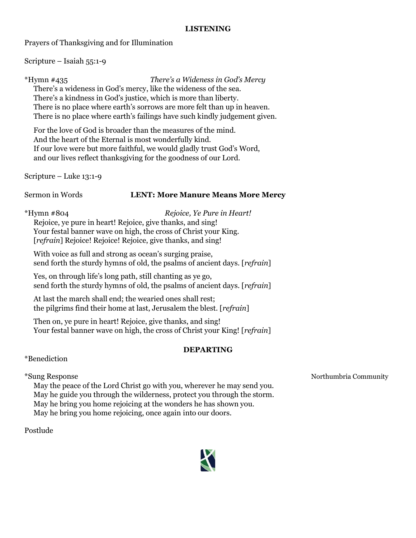## **LISTENING**

Prayers of Thanksgiving and for Illumination

Scripture – Isaiah 55:1-9

\*Hymn #435 *There's a Wideness in God's Mercy*

There's a wideness in God's mercy, like the wideness of the sea. There's a kindness in God's justice, which is more than liberty. There is no place where earth's sorrows are more felt than up in heaven. There is no place where earth's failings have such kindly judgement given.

For the love of God is broader than the measures of the mind. And the heart of the Eternal is most wonderfully kind. If our love were but more faithful, we would gladly trust God's Word, and our lives reflect thanksgiving for the goodness of our Lord.

Scripture – Luke 13:1-9

# Sermon in Words **LENT: More Manure Means More Mercy**

\*Hymn #804 *Rejoice, Ye Pure in Heart!* Rejoice, ye pure in heart! Rejoice, give thanks, and sing! Your festal banner wave on high, the cross of Christ your King. [*refrain*] Rejoice! Rejoice! Rejoice, give thanks, and sing!

With voice as full and strong as ocean's surging praise, send forth the sturdy hymns of old, the psalms of ancient days. [*refrain*]

Yes, on through life's long path, still chanting as ye go, send forth the sturdy hymns of old, the psalms of ancient days. [*refrain*]

At last the march shall end; the wearied ones shall rest; the pilgrims find their home at last, Jerusalem the blest. [*refrain*]

Then on, ye pure in heart! Rejoice, give thanks, and sing! Your festal banner wave on high, the cross of Christ your King! [*refrain*]

# **DEPARTING**

\*Benediction

May the peace of the Lord Christ go with you, wherever he may send you. May he guide you through the wilderness, protect you through the storm. May he bring you home rejoicing at the wonders he has shown you. May he bring you home rejoicing, once again into our doors.

Postlude



\*Sung Response Northumbria Community